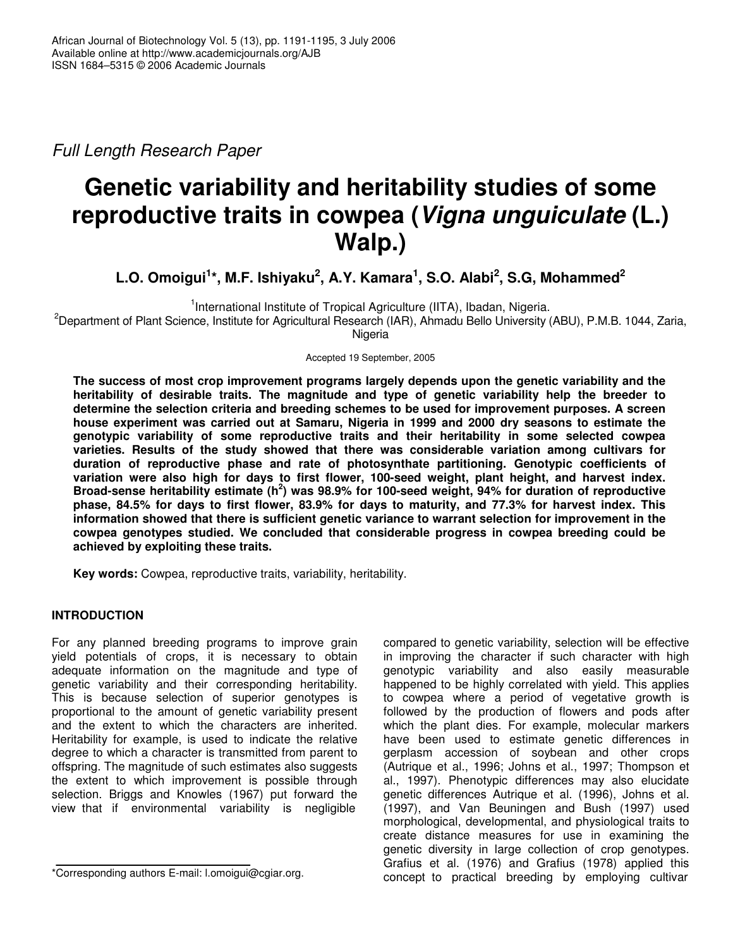*Full Length Research Paper*

# **Genetic variability and heritability studies of some reproductive traits in cowpea (***Vigna unguiculate* **(L.) Walp.)**

**L.O. Omoigui 1 \*, M.F. Ishiyaku 2 , A.Y. Kamara 1 , S.O. Alabi 2 , S.G, Mohammed 2**

<sup>1</sup>International Institute of Tropical Agriculture (IITA), Ibadan, Nigeria.

<sup>2</sup>Department of Plant Science, Institute for Agricultural Research (IAR), Ahmadu Bello University (ABU), P.M.B. 1044, Zaria, **Nigeria** 

Accepted 19 September, 2005

**The success of most crop improvement programs largely depends upon the genetic variability and the heritability of desirable traits. The magnitude and type of genetic variability help the breeder to determine the selection criteria and breeding schemes to be used for improvement purposes. A screen house experiment was carried out at Samaru, Nigeria in 1999 and 2000 dry seasons to estimate the genotypic variability of some reproductive traits and their heritability in some selected cowpea varieties. Results of the study showed that there was considerable variation among cultivars for duration of reproductive phase and rate of photosynthate partitioning. Genotypic coefficients of variation were also high for days to first flower, 100-seed weight, plant height, and harvest index. Broad-sense heritability estimate (h 2 ) was 98.9% for 100-seed weight, 94% for duration of reproductive** phase, 84.5% for days to first flower, 83.9% for days to maturity, and 77.3% for harvest index. This **information showed that there is sufficient genetic variance to warrant selection for improvement in the cowpea genotypes studied. We concluded that considerable progress in cowpea breeding could be achieved by exploiting these traits.**

**Key words:** Cowpea, reproductive traits, variability, heritability.

## **INTRODUCTION**

For any planned breeding programs to improve grain yield potentials of crops, it is necessary to obtain adequate information on the magnitude and type of genetic variability and their corresponding heritability. This is because selection of superior genotypes is proportional to the amount of genetic variability present and the extent to which the characters are inherited. Heritability for example, is used to indicate the relative degree to which a character is transmitted from parent to offspring. The magnitude of such estimates also suggests the extent to which improvement is possible through selection. Briggs and Knowles (1967) put forward the view that if environmental variability is negligible

compared to genetic variability, selection will be effective in improving the character if such character with high genotypic variability and also easily measurable happened to be highly correlated with yield. This applies to cowpea where a period of vegetative growth is followed by the production of flowers and pods after which the plant dies. For example, molecular markers have been used to estimate genetic differences in gerplasm accession of soybean and other crops (Autrique et al., 1996; Johns et al., 1997; Thompson et al., 1997). Phenotypic differences may also elucidate genetic differences Autrique et al. (1996), Johns et al. (1997), and Van Beuningen and Bush (1997) used morphological, developmental, and physiological traits to create distance measures for use in examining the genetic diversity in large collection of crop genotypes. Grafius et al. (1976) and Grafius (1978) applied this concept to practical breeding by employing cultivar

<sup>\*</sup>Corresponding authors E-mail: l.omoigui@cgiar.org.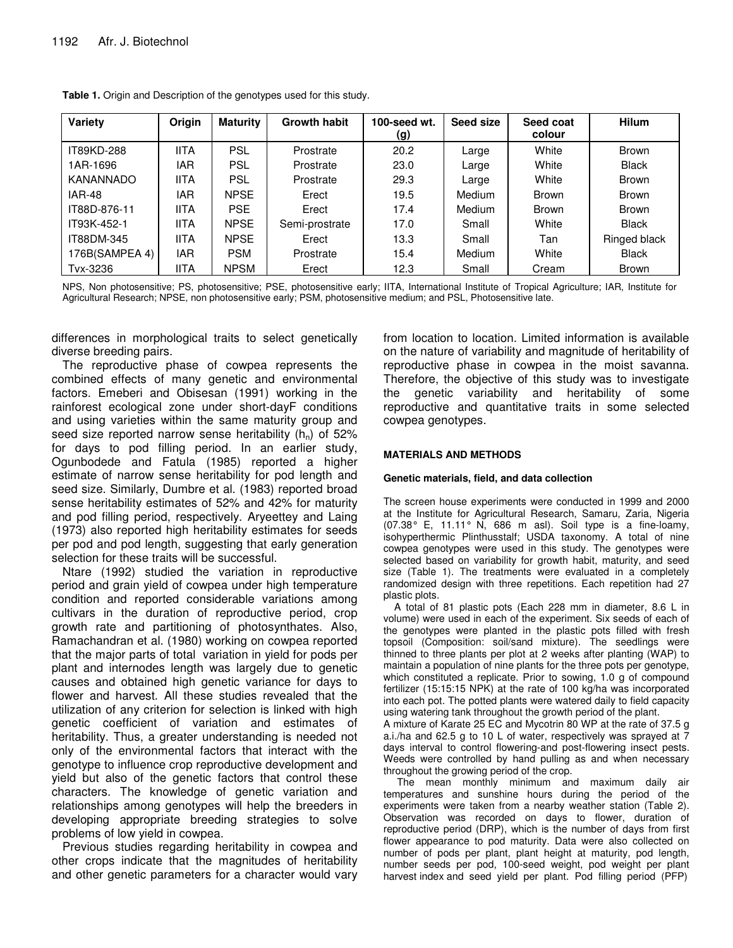| Variety          | Origin      | <b>Maturity</b> | <b>Growth habit</b> | 100-seed wt.<br>(g) | Seed size | Seed coat<br>colour | <b>Hilum</b> |
|------------------|-------------|-----------------|---------------------|---------------------|-----------|---------------------|--------------|
| IT89KD-288       | <b>IITA</b> | <b>PSL</b>      | Prostrate           | 20.2                | Large     | White               | Brown        |
| 1AR-1696         | IAR         | <b>PSL</b>      | Prostrate           | 23.0                | Large     | White               | <b>Black</b> |
| <b>KANANNADO</b> | <b>IITA</b> | <b>PSL</b>      | Prostrate           | 29.3                | Large     | White               | <b>Brown</b> |
| <b>IAR-48</b>    | IAR         | <b>NPSE</b>     | Erect               | 19.5                | Medium    | Brown               | Brown        |
| IT88D-876-11     | <b>IITA</b> | <b>PSE</b>      | Erect               | 17.4                | Medium    | Brown               | Brown        |
| IT93K-452-1      | <b>IITA</b> | <b>NPSE</b>     | Semi-prostrate      | 17.0                | Small     | White               | <b>Black</b> |
| IT88DM-345       | <b>IITA</b> | <b>NPSE</b>     | Erect               | 13.3                | Small     | Tan                 | Ringed black |
| 176B(SAMPEA 4)   | <b>IAR</b>  | <b>PSM</b>      | Prostrate           | 15.4                | Medium    | White               | <b>Black</b> |
| Tvx-3236         | <b>IITA</b> | <b>NPSM</b>     | Erect               | 12.3                | Small     | Cream               | <b>Brown</b> |

**Table 1.** Origin and Description of the genotypes used for this study.

NPS, Non photosensitive; PS, photosensitive; PSE, photosensitive early; IITA, International Institute of Tropical Agriculture; IAR, Institute for Agricultural Research; NPSE, non photosensitive early; PSM, photosensitive medium; and PSL, Photosensitive late.

differences in morphological traits to select genetically diverse breeding pairs.

The reproductive phase of cowpea represents the combined effects of many genetic and environmental factors. Emeberi and Obisesan (1991) working in the rainforest ecological zone under short-dayF conditions and using varieties within the same maturity group and seed size reported narrow sense heritability  $(h_n)$  of 52% for days to pod filling period. In an earlier study, Ogunbodede and Fatula (1985) reported a higher estimate of narrow sense heritability for pod length and seed size. Similarly, Dumbre et al. (1983) reported broad sense heritability estimates of 52% and 42% for maturity and pod filling period, respectively. Aryeettey and Laing (1973) also reported high heritability estimates for seeds per pod and pod length, suggesting that early generation selection for these traits will be successful.

Ntare (1992) studied the variation in reproductive period and grain yield of cowpea under high temperature condition and reported considerable variations among cultivars in the duration of reproductive period, crop growth rate and partitioning of photosynthates. Also, Ramachandran et al. (1980) working on cowpea reported that the major parts of total variation in yield for pods per plant and internodes length was largely due to genetic causes and obtained high genetic variance for days to flower and harvest. All these studies revealed that the utilization of any criterion for selection is linked with high genetic coefficient of variation and estimates of heritability. Thus, a greater understanding is needed not only of the environmental factors that interact with the genotype to influence crop reproductive development and yield but also of the genetic factors that control these characters. The knowledge of genetic variation and relationships among genotypes will help the breeders in developing appropriate breeding strategies to solve problems of low yield in cowpea.

Previous studies regarding heritability in cowpea and other crops indicate that the magnitudes of heritability and other genetic parameters for a character would vary from location to location. Limited information is available on the nature of variability and magnitude of heritability of reproductive phase in cowpea in the moist savanna. Therefore, the objective of this study was to investigate the genetic variability and heritability of some reproductive and quantitative traits in some selected cowpea genotypes.

## **MATERIALS AND METHODS**

## **Genetic materials, field, and data collection**

The screen house experiments were conducted in 1999 and 2000 at the Institute for Agricultural Research, Samaru, Zaria, Nigeria (07.38° E, 11.11° N, 686 m asl). Soil type is a fine-loamy, isohyperthermic Plinthusstalf; USDA taxonomy. A total of nine cowpea genotypes were used in this study. The genotypes were selected based on variability for growth habit, maturity, and seed size (Table 1). The treatments were evaluated in a completely randomized design with three repetitions. Each repetition had 27 plastic plots.

A total of 81 plastic pots (Each 228 mm in diameter, 8.6 L in volume) were used in each of the experiment. Six seeds of each of the genotypes were planted in the plastic pots filled with fresh topsoil (Composition: soil/sand mixture). The seedlings were thinned to three plants per plot at 2 weeks after planting (WAP) to maintain a population of nine plants for the three pots per genotype, which constituted a replicate. Prior to sowing, 1.0 g of compound fertilizer (15:15:15 NPK) at the rate of 100 kg/ha was incorporated into each pot. The potted plants were watered daily to field capacity using watering tank throughout the growth period of the plant.

A mixture of Karate 25 EC and Mycotrin 80 WP at the rate of 37.5 g a.i./ha and 62.5 g to 10 L of water, respectively was sprayed at 7 days interval to control flowering-and post-flowering insect pests. Weeds were controlled by hand pulling as and when necessary throughout the growing period of the crop.

The mean monthly minimum and maximum daily air temperatures and sunshine hours during the period of the experiments were taken from a nearby weather station (Table 2). Observation was recorded on days to flower, duration of reproductive period (DRP), which is the number of days from first flower appearance to pod maturity. Data were also collected on number of pods per plant, plant height at maturity, pod length, number seeds per pod, 100-seed weight, pod weight per plant harvest index and seed yield per plant. Pod filling period (PFP)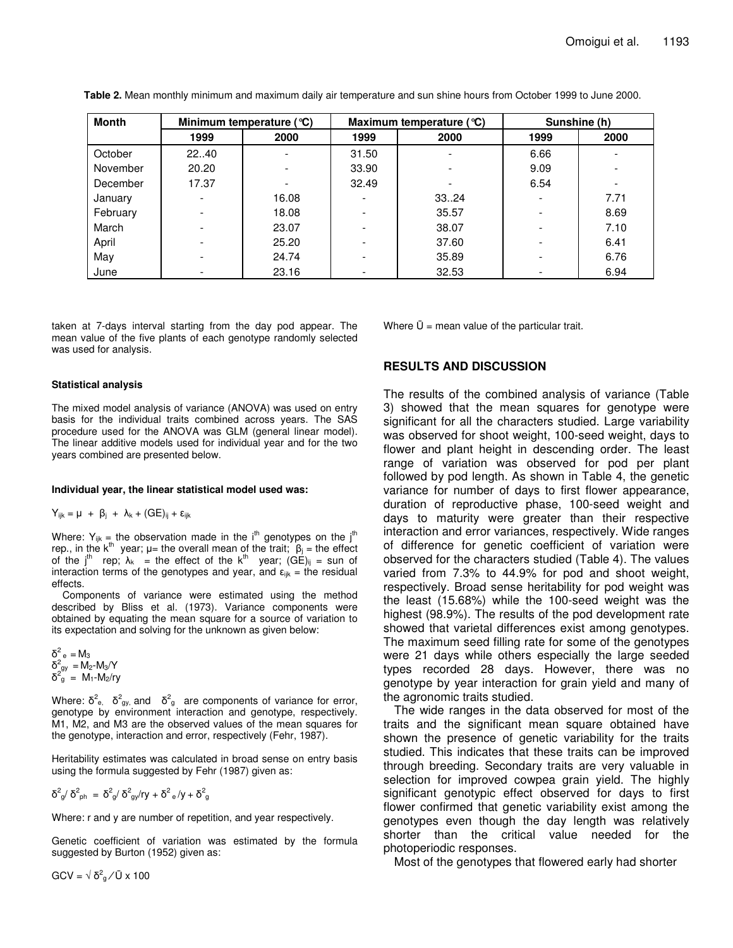| <b>Month</b> | Minimum temperature $({}^{\circ}C)$ |       |                          | Maximum temperature $({}^{\circ}C)$ | Sunshine (h) |      |
|--------------|-------------------------------------|-------|--------------------------|-------------------------------------|--------------|------|
|              | 1999                                | 2000  | 1999                     | 2000                                | 1999         | 2000 |
| October      | 22.40                               |       | 31.50                    |                                     | 6.66         |      |
| November     | 20.20                               |       | 33.90                    |                                     | 9.09         |      |
| December     | 17.37                               |       | 32.49                    |                                     | 6.54         |      |
| January      |                                     | 16.08 | $\blacksquare$           | 3324                                |              | 7.71 |
| February     | -                                   | 18.08 | $\overline{\phantom{a}}$ | 35.57                               |              | 8.69 |
| March        |                                     | 23.07 | $\overline{\phantom{a}}$ | 38.07                               |              | 7.10 |
| April        |                                     | 25.20 | $\overline{\phantom{a}}$ | 37.60                               |              | 6.41 |
| May          |                                     | 24.74 | -                        | 35.89                               |              | 6.76 |
| June         |                                     | 23.16 | -                        | 32.53                               |              | 6.94 |

**Table 2.** Mean monthly minimum and maximum daily air temperature and sun shine hours from October 1999 to June 2000.

taken at 7-days interval starting from the day pod appear. The mean value of the five plants of each genotype randomly selected was used for analysis.

Where  $\bar{U}$  = mean value of the particular trait.

### **Statistical analysis**

The mixed model analysis of variance (ANOVA) was used on entry basis for the individual traits combined across years. The SAS procedure used for the ANOVA was GLM (general linear model). The linear additive models used for individual year and for the two years combined are presented below.

### **Individual year, the linear statistical model used was:**

$$
Y_{ijk} = \mu + \beta_j + \lambda_k + (GE)_{ij} + \epsilon_{ijk}
$$

Where:  $Y_{ijk}$  = the observation made in the i<sup>th</sup> genotypes on the j<sup>th</sup> rep., in the k<sup>th</sup> year;  $\mu$  the overall mean of the trait;  $\beta$ <sub>j</sub> = the effect of the j<sup>th</sup> rep;  $\lambda_k$  = the effect of the k<sup>th</sup> year; (GE)<sub>ij</sub> = sun of interaction terms of the genotypes and year, and  $\varepsilon_{ijk}$  = the residual effects.

Components of variance were estimated using the method described by Bliss et al. (1973). Variance components were obtained by equating the mean square for a source of variation to its expectation and solving for the unknown as given below:

 $\delta^2_{\cdot \theta} = M_3$  $\delta_{gy}^2 = M_2 - M_3/Y$  $\delta^{2}$ <sup>o</sup> = M<sub>1</sub>-M<sub>2</sub>/ry

Where:  $\delta^2$ <sub>e,</sub>  $\delta^2$ <sub>gy</sub>, and  $\delta^2$ <sub>g</sub> are components of variance for error, genotype by environment interaction and genotype, respectively. M1, M2, and M3 are the observed values of the mean squares for the genotype, interaction and error, respectively (Fehr, 1987).

Heritability estimates was calculated in broad sense on entry basis using the formula suggested by Fehr (1987) given as:

$$
\delta^{2}_{\,\,g}/\,\delta^{2}_{\,\,ph}\,\,=\,\delta^{2}_{\,\,g}/\,\delta^{2}_{\,\,gy}/ry\,+\,\delta^{2}_{\,\,e}\,/y\,+\,\delta^{2}_{\,\,g}
$$

Where: r and y are number of repetition, and year respectively.

Genetic coefficient of variation was estimated by the formula suggested by Burton (1952) given as:

**RESULTS AND DISCUSSION**

The results of the combined analysis of variance (Table 3) showed that the mean squares for genotype were significant for all the characters studied. Large variability was observed for shoot weight, 100-seed weight, days to flower and plant height in descending order. The least range of variation was observed for pod per plant followed by pod length. As shown in Table 4, the genetic variance for number of days to first flower appearance, duration of reproductive phase, 100-seed weight and days to maturity were greater than their respective interaction and error variances, respectively. Wide ranges of difference for genetic coefficient of variation were observed for the characters studied (Table 4). The values varied from 7.3% to 44.9% for pod and shoot weight, respectively. Broad sense heritability for pod weight was the least (15.68%) while the 100-seed weight was the highest (98.9%). The results of the pod development rate showed that varietal differences exist among genotypes. The maximum seed filling rate for some of the genotypes were 21 days while others especially the large seeded types recorded 28 days. However, there was no genotype by year interaction for grain yield and many of the agronomic traits studied.

The wide ranges in the data observed for most of the traits and the significant mean square obtained have shown the presence of genetic variability for the traits studied. This indicates that these traits can be improved through breeding. Secondary traits are very valuable in selection for improved cowpea grain yield. The highly significant genotypic effect observed for days to first flower confirmed that genetic variability exist among the genotypes even though the day length was relatively shorter than the critical value needed for the photoperiodic responses.

Most of the genotypes that flowered early had shorter

 $\mathsf{GCV} = \sqrt{\mathsf{d}^2 \mathsf{d}} / \bar{\mathsf{U}} \times \mathsf{100}$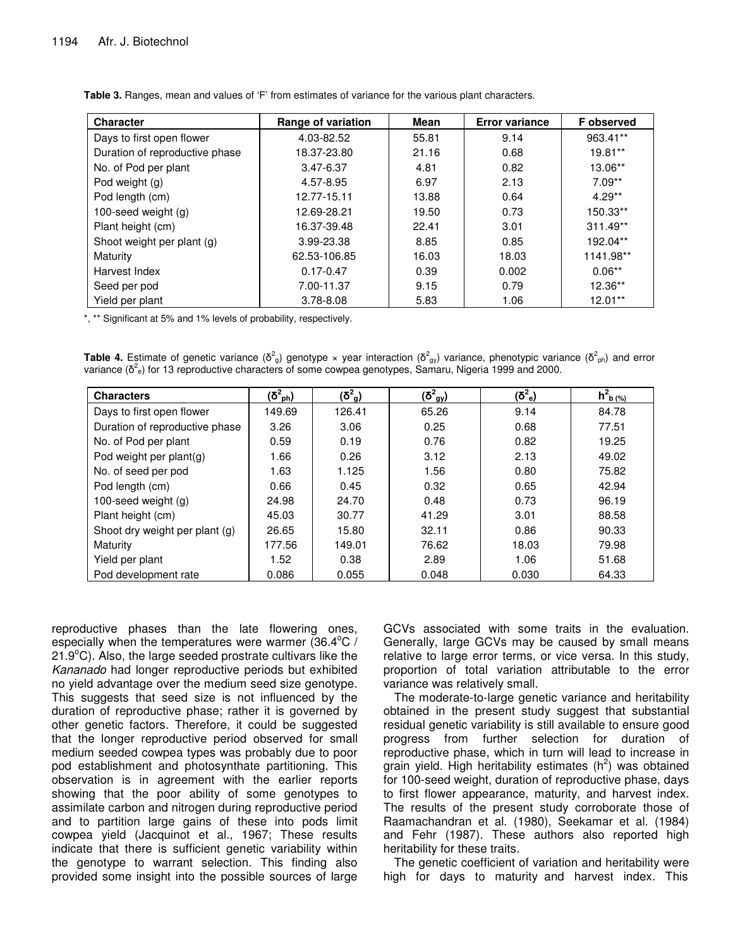| <b>Character</b>               | Range of variation | <b>Mean</b> | <b>Error variance</b> | <b>F</b> observed |
|--------------------------------|--------------------|-------------|-----------------------|-------------------|
| Days to first open flower      | 4.03-82.52         | 55.81       | 9.14                  | 963.41**          |
| Duration of reproductive phase | 18.37-23.80        | 21.16       | 0.68                  | 19.81**           |
| No. of Pod per plant           | 3.47-6.37          | 4.81        | 0.82                  | $13.06**$         |
| Pod weight (g)                 | 4.57-8.95          | 6.97        | 2.13                  | $7.09**$          |
| Pod length (cm)                | 12.77-15.11        | 13.88       | 0.64                  | $4.29**$          |
| 100-seed weight (g)            | 12.69-28.21        | 19.50       | 0.73                  | 150.33**          |
| Plant height (cm)              | 16.37-39.48        | 22.41       | 3.01                  | $311.49**$        |
| Shoot weight per plant (g)     | 3.99-23.38         | 8.85        | 0.85                  | 192.04**          |
| Maturity                       | 62.53-106.85       | 16.03       | 18.03                 | 1141.98**         |
| Harvest Index                  | $0.17 - 0.47$      | 0.39        | 0.002                 | $0.06**$          |
| Seed per pod                   | 7.00-11.37         | 9.15        | 0.79                  | $12.36**$         |
| Yield per plant                | 3.78-8.08          | 5.83        | 1.06                  | $12.01**$         |

**Table 3.** Ranges, mean and values of 'F' from estimates of variance for the various plant characters.

\*, \*\* Significant at 5% and 1% levels of probability, respectively.

| <b>Table 4.</b> Estimate of genetic variance ( $\delta^2$ <sub>9</sub> ) genotype x year interaction ( $\delta^2$ <sub>9V</sub> ) variance, phenotypic variance ( $\delta^2$ <sub>ph</sub> ) and error |  |  |  |
|--------------------------------------------------------------------------------------------------------------------------------------------------------------------------------------------------------|--|--|--|
| variance ( $\delta^2$ <sub>e</sub> ) for 13 reproductive characters of some cowpea genotypes, Samaru, Nigeria 1999 and 2000.                                                                           |  |  |  |

| <b>Characters</b>              | $(\delta^2_{ph})$ | $(\underline{\delta}^2_g)$ | $(\delta^2_{gy})$ | $(\delta^2_{e})$ | $h^2_{b}$ (%) |
|--------------------------------|-------------------|----------------------------|-------------------|------------------|---------------|
| Days to first open flower      | 149.69            | 126.41                     | 65.26             | 9.14             | 84.78         |
| Duration of reproductive phase | 3.26              | 3.06                       | 0.25              | 0.68             | 77.51         |
| No. of Pod per plant           | 0.59              | 0.19                       | 0.76              | 0.82             | 19.25         |
| Pod weight per plant(g)        | 1.66              | 0.26                       | 3.12              | 2.13             | 49.02         |
| No. of seed per pod            | 1.63              | 1.125                      | 1.56              | 0.80             | 75.82         |
| Pod length (cm)                | 0.66              | 0.45                       | 0.32              | 0.65             | 42.94         |
| 100-seed weight $(g)$          | 24.98             | 24.70                      | 0.48              | 0.73             | 96.19         |
| Plant height (cm)              | 45.03             | 30.77                      | 41.29             | 3.01             | 88.58         |
| Shoot dry weight per plant (g) | 26.65             | 15.80                      | 32.11             | 0.86             | 90.33         |
| Maturity                       | 177.56            | 149.01                     | 76.62             | 18.03            | 79.98         |
| Yield per plant                | 1.52              | 0.38                       | 2.89              | 1.06             | 51.68         |
| Pod development rate           | 0.086             | 0.055                      | 0.048             | 0.030            | 64.33         |

reproductive phases than the late flowering ones, especially when the temperatures were warmer (36.4 $\mathrm{^oC}$  /  $21.9^{\circ}$ C). Also, the large seeded prostrate cultivars like the *Kananado* had longer reproductive periods but exhibited no yield advantage over the medium seed size genotype. This suggests that seed size is not influenced by the duration of reproductive phase; rather it is governed by other genetic factors. Therefore, it could be suggested that the longer reproductive period observed for small medium seeded cowpea types was probably due to poor pod establishment and photosynthate partitioning. This observation is in agreement with the earlier reports showing that the poor ability of some genotypes to assimilate carbon and nitrogen during reproductive period and to partition large gains of these into pods limit cowpea yield (Jacquinot et al., 1967; These results indicate that there is sufficient genetic variability within the genotype to warrant selection. This finding also provided some insight into the possible sources of large

GCVs associated with some traits in the evaluation. Generally, large GCVs may be caused by small means relative to large error terms, or vice versa. In this study, proportion of total variation attributable to the error variance was relatively small.

The moderate-to-large genetic variance and heritability obtained in the present study suggest that substantial residual genetic variability is still available to ensure good progress from further selection for duration of reproductive phase, which in turn will lead to increase in grain yield. High heritability estimates (h<sup>2</sup>) was obtained for 100-seed weight, duration of reproductive phase, days to first flower appearance, maturity, and harvest index. The results of the present study corroborate those of Raamachandran et al. (1980), Seekamar et al. (1984) and Fehr (1987). These authors also reported high heritability for these traits.

The genetic coefficient of variation and heritability were high for days to maturity and harvest index. This